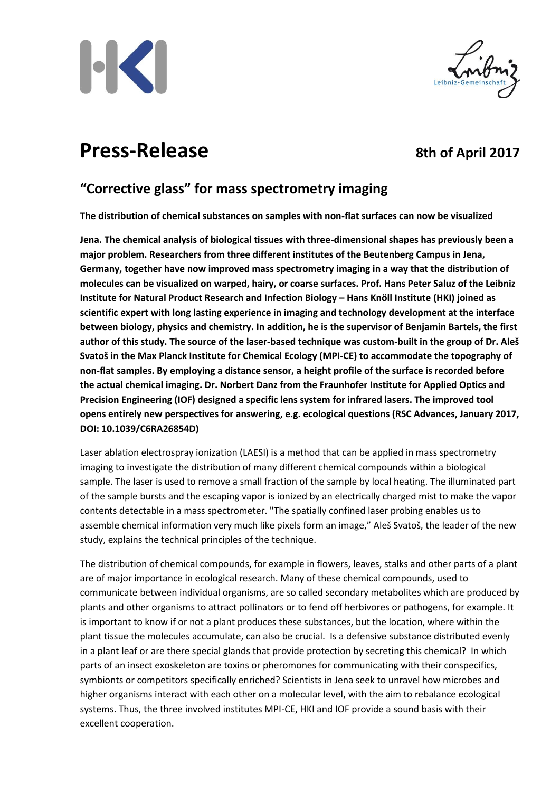



# **Press-Release** 8th of April 2017

## **"Corrective glass" for mass spectrometry imaging**

**The distribution of chemical substances on samples with non-flat surfaces can now be visualized**

**Jena. The chemical analysis of biological tissues with three-dimensional shapes has previously been a major problem. Researchers from three different institutes of the Beutenberg Campus in Jena, Germany, together have now improved mass spectrometry imaging in a way that the distribution of molecules can be visualized on warped, hairy, or coarse surfaces. Prof. Hans Peter Saluz of the Leibniz Institute for Natural Product Research and Infection Biology – Hans Knöll Institute (HKI) joined as scientific expert with long lasting experience in imaging and technology development at the interface between biology, physics and chemistry. In addition, he is the supervisor of Benjamin Bartels, the first author of this study. The source of the laser-based technique was custom-built in the group of Dr. Aleš Svatoš in the Max Planck Institute for Chemical Ecology (MPI-CE) to accommodate the topography of non-flat samples. By employing a distance sensor, a height profile of the surface is recorded before the actual chemical imaging. Dr. Norbert Danz from the Fraunhofer Institute for Applied Optics and Precision Engineering (IOF) designed a specific lens system for infrared lasers. The improved tool opens entirely new perspectives for answering, e.g. ecological questions (RSC Advances, January 2017, DOI: 10.1039/C6RA26854D)**

Laser ablation electrospray ionization (LAESI) is a method that can be applied in mass spectrometry imaging to investigate the distribution of many different chemical compounds within a biological sample. The laser is used to remove a small fraction of the sample by local heating. The illuminated part of the sample bursts and the escaping vapor is ionized by an electrically charged mist to make the vapor contents detectable in a mass spectrometer. "The spatially confined laser probing enables us to assemble chemical information very much like pixels form an image," Aleš Svatoš, the leader of the new study, explains the technical principles of the technique.

The distribution of chemical compounds, for example in flowers, leaves, stalks and other parts of a plant are of major importance in ecological research. Many of these chemical compounds, used to communicate between individual organisms, are so called secondary metabolites which are produced by plants and other organisms to attract pollinators or to fend off herbivores or pathogens, for example. It is important to know if or not a plant produces these substances, but the location, where within the plant tissue the molecules accumulate, can also be crucial. Is a defensive substance distributed evenly in a plant leaf or are there special glands that provide protection by secreting this chemical? In which parts of an insect exoskeleton are toxins or pheromones for communicating with their conspecifics, symbionts or competitors specifically enriched? Scientists in Jena seek to unravel how microbes and higher organisms interact with each other on a molecular level, with the aim to rebalance ecological systems. Thus, the three involved institutes MPI-CE, HKI and IOF provide a sound basis with their excellent cooperation.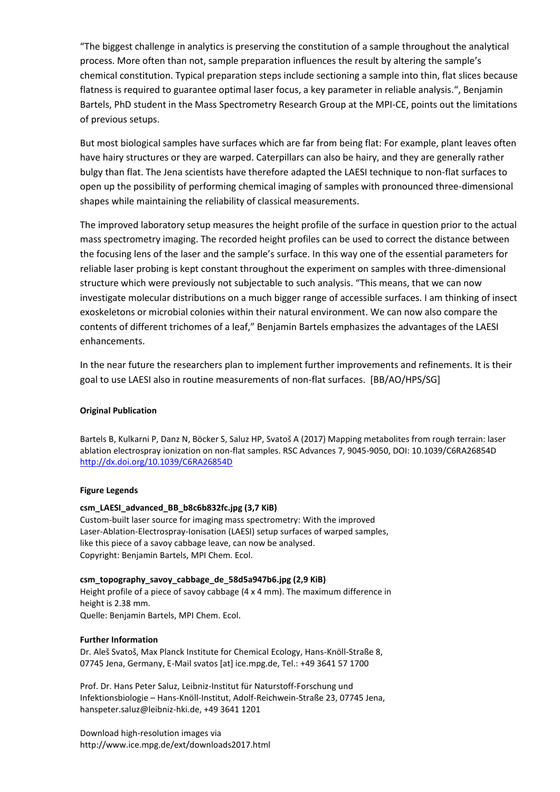"The biggest challenge in analytics is preserving the constitution of a sample throughout the analytical process. More often than not, sample preparation influences the result by altering the sample's chemical constitution. Typical preparation steps include sectioning a sample into thin, flat slices because flatness is required to guarantee optimal laser focus, a key parameter in reliable analysis.", Benjamin Bartels, PhD student in the Mass Spectrometry Research Group at the MPI-CE, points out the limitations of previous setups.

But most biological samples have surfaces which are far from being flat: For example, plant leaves often have hairy structures or they are warped. Caterpillars can also be hairy, and they are generally rather bulgy than flat. The Jena scientists have therefore adapted the LAESI technique to non-flat surfaces to open up the possibility of performing chemical imaging of samples with pronounced three-dimensional shapes while maintaining the reliability of classical measurements.

The improved laboratory setup measures the height profile of the surface in question prior to the actual mass spectrometry imaging. The recorded height profiles can be used to correct the distance between the focusing lens of the laser and the sample's surface. In this way one of the essential parameters for reliable laser probing is kept constant throughout the experiment on samples with three-dimensional structure which were previously not subjectable to such analysis. "This means, that we can now investigate molecular distributions on a much bigger range of accessible surfaces. I am thinking of insect exoskeletons or microbial colonies within their natural environment. We can now also compare the contents of different trichomes of a leaf," Benjamin Bartels emphasizes the advantages of the LAESI enhancements.

In the near future the researchers plan to implement further improvements and refinements. It is their goal to use LAESI also in routine measurements of non-flat surfaces. [BB/AO/HPS/SG]

### **Original Publication**

Bartels B, Kulkarni P, Danz N, Böcker S, Saluz HP, Svatoš A (2017) Mapping metabolites from rough terrain: laser ablation electrospray ionization on non-flat samples. RSC Advances 7, 9045-9050, DOI: 10.1039/C6RA26854D <http://dx.doi.org/10.1039/C6RA26854D>

#### **Figure Legends**

#### **csm\_LAESI\_advanced\_BB\_b8c6b832fc.jpg (3,7 KiB)**

Custom-built laser source for imaging mass spectrometry: With the improved Laser-Ablation-Electrospray-Ionisation (LAESI) setup surfaces of warped samples, like this piece of a savoy cabbage leave, can now be analysed. Copyright: Benjamin Bartels, MPI Chem. Ecol.

#### **csm\_topography\_savoy\_cabbage\_de\_58d5a947b6.jpg (2,9 KiB)**

Height profile of a piece of savoy cabbage (4 x 4 mm). The maximum difference in height is 2.38 mm. Quelle: Benjamin Bartels, MPI Chem. Ecol.

#### **Further Information**

Dr. Aleš Svatoš, Max Planck Institute for Chemical Ecology, Hans-Knöll-Straße 8, 07745 Jena, Germany, E-Mail svatos [at] ice.mpg.de, Tel.: +49 3641 57 1700

Prof. Dr. Hans Peter Saluz, Leibniz-Institut für Naturstoff-Forschung und Infektionsbiologie – Hans-Knöll-Institut, Adolf-Reichwein-Straße 23, 07745 Jena, hanspeter.saluz@leibniz-hki.de, +49 3641 1201

Download high-resolution images via http://www.ice.mpg.de/ext/downloads2017.html